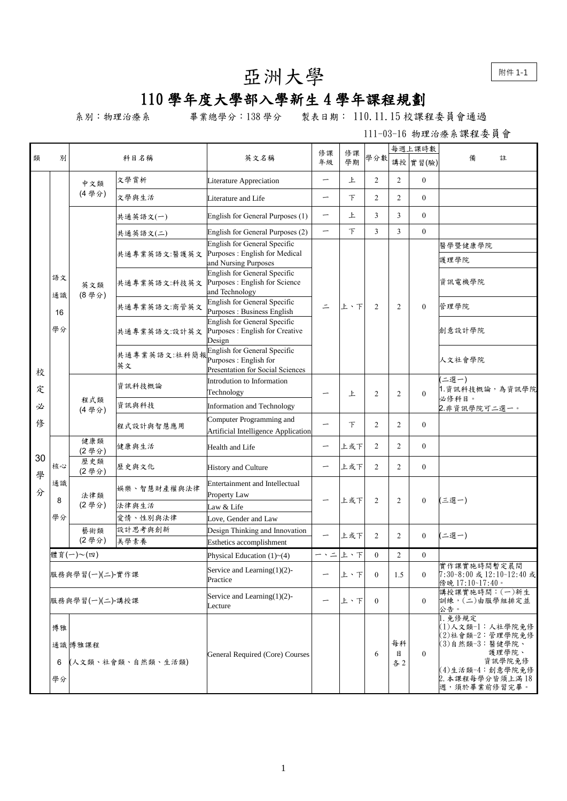附件 1-1

## 亞洲大學

## 110 學年度大學部入學新生 4 學年課程規劃

系別:物理治療系 畢業總學分:138 學分 製表日期: 110.11.15 校課程委員會通過

111-03-16 物理治療系課程委員會

|         | 別                                            | 科目名稱            |                      |                                                                                            | 修課                               | 修課     |                     | 每週上課時數         |                  |                                                                                                                                          |
|---------|----------------------------------------------|-----------------|----------------------|--------------------------------------------------------------------------------------------|----------------------------------|--------|---------------------|----------------|------------------|------------------------------------------------------------------------------------------------------------------------------------------|
| 類       |                                              |                 |                      | 英文名稱                                                                                       | 年級                               | 學期     | 學分數                 |                | 講授實習(驗)          | 備<br>註                                                                                                                                   |
|         |                                              | 中文類             | 文學賞析                 | Literature Appreciation                                                                    | —                                | 上      | 2                   | 2              | $\mathbf{0}$     |                                                                                                                                          |
|         |                                              | (4學分)           | 文學與生活                | Literature and Life                                                                        | $\overbrace{\phantom{12322111}}$ | $\top$ | $\overline{c}$      | $\overline{2}$ | $\mathbf{0}$     |                                                                                                                                          |
|         |                                              |                 | 共通英語文(一)             | English for General Purposes (1)                                                           |                                  | 上      | 3                   | 3              | $\mathbf{0}$     |                                                                                                                                          |
|         |                                              |                 | 共通英語文(二)             | English for General Purposes (2)                                                           | -                                | $\top$ | 3                   | $\overline{3}$ | $\mathbf{0}$     |                                                                                                                                          |
|         |                                              |                 |                      | English for General Specific                                                               |                                  |        |                     |                |                  | 醫學暨健康學院                                                                                                                                  |
|         |                                              |                 | 共通專業英語文:醫護英文         | Purposes: English for Medical<br>and Nursing Purposes                                      |                                  |        |                     |                |                  | 護理學院                                                                                                                                     |
|         | 語文<br>通識                                     | 英文類<br>(8學分)    | 共通專業英語文:科技英文         | English for General Specific<br>Purposes : English for Science<br>and Technology           | $\equiv$                         | 上、下    |                     |                |                  | 資訊電機學院                                                                                                                                   |
|         | 16                                           |                 | 共通專業英語文:商管英文         | English for General Specific<br>Purposes : Business English                                |                                  |        | 2                   | 2              | $\mathbf{0}$     | 管理學院                                                                                                                                     |
|         | 學分                                           |                 |                      | English for General Specific<br>共通專業英語文:設計英文 Purposes: English for Creative<br>Design      |                                  |        |                     |                |                  | 創意設計學院                                                                                                                                   |
| 校       |                                              |                 | 共通專業英語文:社科簡報<br>英文   | English for General Specific<br>Purposes : English for<br>Presentation for Social Sciences |                                  |        |                     |                |                  | 人文社會學院                                                                                                                                   |
| 定       |                                              |                 | 資訊科技概論               | Introdution to Information<br>Technology                                                   |                                  | 上      | $\overline{c}$<br>2 |                | $\mathbf{0}$     | '二選一)<br>1. 資訊科技概論,為資訊學院                                                                                                                 |
| 必       |                                              | 程式類<br>(4學分)    | 資訊與科技                | Information and Technology                                                                 |                                  |        |                     |                |                  | 必修科目。<br>2.非資訊學院可二選一。                                                                                                                    |
| 俢       |                                              |                 | 程式設計與智慧應用            | Computer Programming and<br>Artificial Intelligence Application                            |                                  | $\top$ | 2                   | $\overline{2}$ | $\overline{0}$   |                                                                                                                                          |
|         | 核心<br>通識<br>8                                | 健康類<br>(2學分)    | 健康與生活                | Health and Life                                                                            |                                  | 上或下    | 2                   | $\overline{2}$ | $\mathbf{0}$     |                                                                                                                                          |
| 30<br>學 |                                              | 歷史類<br>(2學分)    | 歷史與文化                | History and Culture                                                                        |                                  | 上或下    | 2                   | $\overline{2}$ | $\mathbf{0}$     |                                                                                                                                          |
| 分       |                                              | 法律類<br>(2學分)    | 娱樂、智慧財產權與法律<br>法律與生活 | Entertainment and Intellectual<br>Property Law<br>Law & Life                               |                                  | 上或下    | $\overline{c}$      | 2              | $\mathbf{0}$     | (三選一)                                                                                                                                    |
|         | 學分                                           |                 | 愛情、性別與法律             | Love, Gender and Law                                                                       |                                  |        |                     |                |                  |                                                                                                                                          |
|         |                                              | 藝術類<br>(2學分)    | 設計思考與創新<br>美學素養      | Design Thinking and Innovation                                                             |                                  | 上或下    | 2                   | 2              | $\mathbf{0}$     | 二選一)                                                                                                                                     |
|         |                                              |                 |                      | <b>Esthetics accomplishment</b>                                                            |                                  |        |                     |                |                  |                                                                                                                                          |
|         |                                              | 體育(一)~(四)       |                      | Physical Education $(1)$ ~ $(4)$                                                           | ー、ニ                              | 上、下    | $\overline{0}$      | $\overline{c}$ | $\boldsymbol{0}$ | 實作課實施時間暫定晨間                                                                                                                              |
|         |                                              | 服務與學習(一)(二)-實作課 |                      | Service and Learning(1)(2)-<br>Practice                                                    | -                                | 上、下    | $\mathbf{0}$        | 1.5            | $\mathbf{0}$     | 7:30~8:00 或 12:10~12:40 或<br>傍晚 17:10~17:40。                                                                                             |
|         | 服務與學習(一)(二)-講授課                              |                 |                      | Service and Learning $(1)(2)$ -<br>Lecture                                                 | —                                | 上、下    | $\overline{0}$      |                | $\mathbf{0}$     | 講授課實施時間: (一)新生<br>訓練,(二)由服學組排定並<br>公告。                                                                                                   |
|         | 博雅<br>通識博雅課程<br>(人文類、社會類、自然類、生活類)<br>6<br>學分 |                 |                      | <b>General Required (Core) Courses</b>                                                     |                                  |        | 6                   | 每科<br>目<br>各2  | $\theta$         | 1. 免修規定<br>(1)人文類-1:人社學院免修<br>(2)社會類-2:管理學院免修<br>(3)自然類-3:醫健學院、<br>護理學院、<br>資訊學院免修<br>(4)生活類-4:創意學院免修<br>2. 本課程每學分皆須上滿18<br>週,須於畢業前修習完畢。 |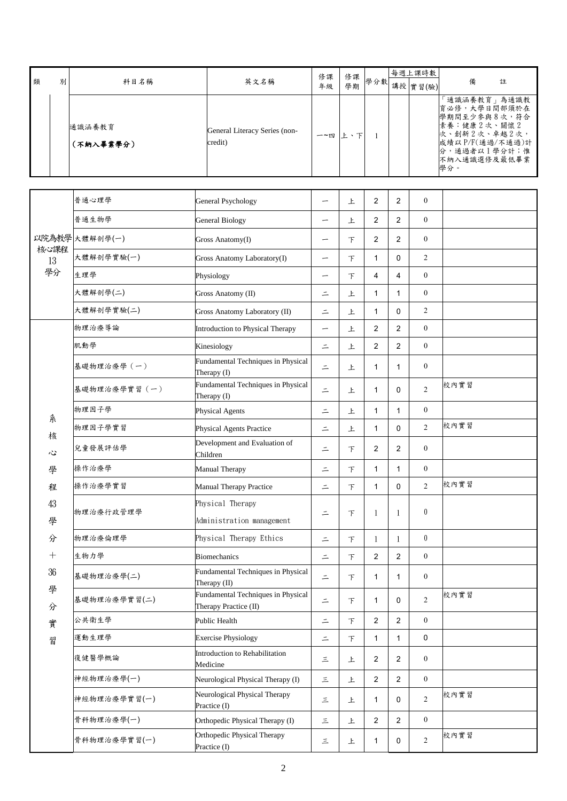| 類 | 別 | 科目名稱                | 英文名稱                                     | 修課<br>年級 | 修課<br>學期 |  | 每週上課時數<br>+ + 學分數 講授 實習(驗) |                                                                                                                                        | 註 |
|---|---|---------------------|------------------------------------------|----------|----------|--|----------------------------|----------------------------------------------------------------------------------------------------------------------------------------|---|
|   |   | 通識涵養教育<br>(不納入畢業學分) | General Literacy Series (non-<br>credit) | 一~四      |          |  |                            | 通識涵養教育」為通識教<br>育必修,大學日間部須於在<br>學期間至少參與8次,符合<br>素養:健康2次、關懷2<br> 次、創新2次、卓越2次,<br>成績以 P/F(通過/不通過)計<br>分,通過者以1學分計;惟<br>不納入通識選修及最低畢業<br>學分。 |   |

|            | 普通心理學         | <b>General Psychology</b>                                   | -        | 上      | $\overline{2}$ | 2              | $\boldsymbol{0}$ |      |
|------------|---------------|-------------------------------------------------------------|----------|--------|----------------|----------------|------------------|------|
|            | 普通生物學         | <b>General Biology</b>                                      | —        | 上      | 2              | 2              | $\mathbf{0}$     |      |
| 以院為教學      | 大體解剖學(一)      | Gross Anatomy(I)                                            | -        | 下      | 2              | 2              | $\boldsymbol{0}$ |      |
| 核心課程<br>13 | 大體解剖學實驗(一)    | Gross Anatomy Laboratory(I)                                 | -        | $\top$ | 1              | 0              | $\overline{c}$   |      |
| 學分         | 生理學           | Physiology                                                  |          | 下      | 4              | 4              | $\mathbf{0}$     |      |
|            | 大體解剖學(二)      | Gross Anatomy (II)                                          | $\equiv$ | 上      | 1              | 1              | $\mathbf{0}$     |      |
|            | 大體解剖學實驗(二)    | Gross Anatomy Laboratory (II)                               | $\equiv$ | 上      | $\mathbf{1}$   | 0              | 2                |      |
|            | 物理治療導論        | Introduction to Physical Therapy                            |          | 上      | 2              | 2              | $\boldsymbol{0}$ |      |
|            | 肌動學           | Kinesiology                                                 | $\equiv$ | 上      | 2              | 2              | $\boldsymbol{0}$ |      |
|            | 基礎物理治療學 (一)   | Fundamental Techniques in Physical<br>Therapy (I)           | $\equiv$ | 上      | 1              | 1              | $\boldsymbol{0}$ |      |
|            | 基礎物理治療學實習 (一) | Fundamental Techniques in Physical<br>Therapy (I)           | $\equiv$ | 上      | $\mathbf{1}$   | 0              | $\overline{c}$   | 校內實習 |
| 糸          | 物理因子學         | Physical Agents                                             | $\equiv$ | 上      | $\mathbf{1}$   | $\mathbf{1}$   | $\boldsymbol{0}$ |      |
| 核          | 物理因子學實習       | Physical Agents Practice                                    | $\equiv$ | 上      | 1              | $\Omega$       | $\overline{2}$   | 校內實習 |
| 心          | 兒童發展評估學       | Development and Evaluation of<br>Children                   | $\equiv$ | $\top$ | 2              | 2              | $\boldsymbol{0}$ |      |
| 學          | 操作治療學         | <b>Manual Therapy</b>                                       | $\equiv$ | $\top$ | $\mathbf{1}$   | $\mathbf{1}$   | $\mathbf{0}$     |      |
| 程          | 操作治療學實習       | <b>Manual Therapy Practice</b>                              | $\equiv$ | $\top$ | 1              | 0              | $\overline{2}$   | 校內實習 |
| 43<br>學    | 物理治療行政管理學     | Physical Therapy<br>Administration management               | $\equiv$ | $\top$ | 1              | $\mathbf{1}$   | $\boldsymbol{0}$ |      |
| 分          | 物理治療倫理學       | Physical Therapy Ethics                                     | $\equiv$ | $\top$ | 1              | $\mathbf{1}$   | $\mathbf{0}$     |      |
| $^{+}$     | 生物力學          | <b>Biomechanics</b>                                         | $\equiv$ | $\top$ | 2              | 2              | $\boldsymbol{0}$ |      |
| 36         | 基礎物理治療學(二)    | Fundamental Techniques in Physical<br>Therapy (II)          | $\equiv$ | $\top$ | 1              | $\mathbf{1}$   | $\boldsymbol{0}$ |      |
| 學<br>分     | 基礎物理治療學實習(二)  | Fundamental Techniques in Physical<br>Therapy Practice (II) | $\equiv$ | $\top$ | $\mathbf{1}$   | 0              | $\overline{c}$   | 校內實習 |
| 實          | 公共衛生學         | Public Health                                               | $\equiv$ | 下      | $\overline{c}$ | $\overline{c}$ | $\boldsymbol{0}$ |      |
| 習          | 運動生理學         | <b>Exercise Physiology</b>                                  | $\equiv$ | $\top$ | $\mathbf{1}$   | 1              | 0                |      |
|            | 復健醫學概論        | Introduction to Rehabilitation<br>Medicine                  | $\equiv$ | 上      | $\overline{2}$ | 2              | $\boldsymbol{0}$ |      |
|            | 神經物理治療學(一)    | Neurological Physical Therapy (I)                           | $\equiv$ | 上      | $\overline{2}$ | $\overline{2}$ | $\boldsymbol{0}$ |      |
|            | 神經物理治療學實習(一)  | Neurological Physical Therapy<br>Practice (I)               | $\equiv$ | 上      | $\mathbf{1}$   | 0              | $\overline{c}$   | 校內實習 |
|            | 骨科物理治療學(一)    | Orthopedic Physical Therapy (I)                             | 三        | 上      | $\overline{2}$ | 2              | $\boldsymbol{0}$ |      |
|            | 骨科物理治療學實習(一)  | Orthopedic Physical Therapy<br>Practice (I)                 | $\equiv$ | 上      | $\mathbf{1}$   | 0              | $\sqrt{2}$       | 校內實習 |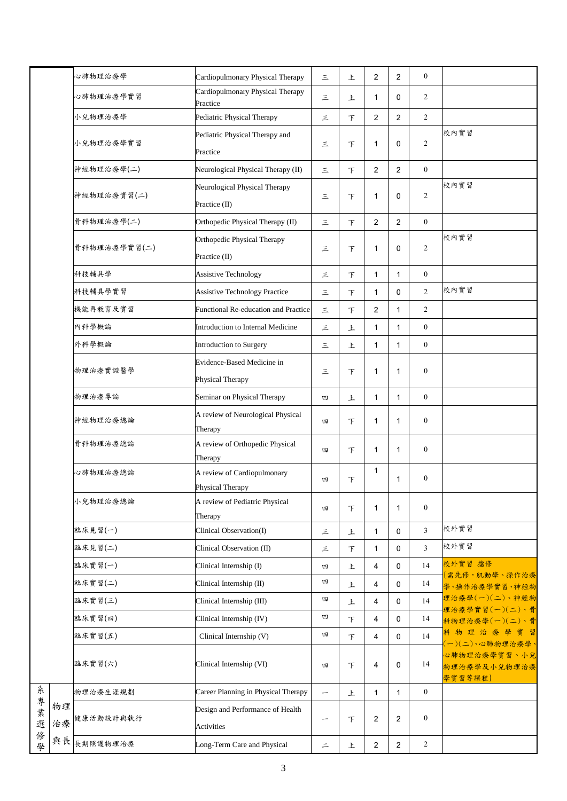|                  |          | 心肺物理治療學      | Cardiopulmonary Physical Therapy                      | 三        | 上      | $\overline{2}$ | 2              | $\mathbf{0}$     |                                         |
|------------------|----------|--------------|-------------------------------------------------------|----------|--------|----------------|----------------|------------------|-----------------------------------------|
|                  |          | 心肺物理治療學實習    | Cardiopulmonary Physical Therapy<br>Practice          | 三        | 上      | 1              | 0              | 2                |                                         |
|                  |          | 小兒物理治療學      | Pediatric Physical Therapy                            | 三        | $\top$ | $\overline{2}$ | 2              | $\overline{2}$   |                                         |
|                  |          | 小兒物理治療學實習    | Pediatric Physical Therapy and<br>Practice            | 三        | $\top$ | 1              | 0              | $\overline{2}$   | 校內實習                                    |
|                  |          | 神經物理治療學(二)   | Neurological Physical Therapy (II)                    | 三        | $\top$ | $\overline{2}$ | 2              | $\boldsymbol{0}$ |                                         |
|                  |          | 神經物理治療實習(二)  | Neurological Physical Therapy<br>Practice (II)        | 三        | $\top$ | 1              | 0              | $\overline{2}$   | 校內實習                                    |
|                  |          | 骨科物理治療學(二)   | Orthopedic Physical Therapy (II)                      | $\equiv$ | $\top$ | $\overline{2}$ | 2              | $\mathbf{0}$     |                                         |
|                  |          | 骨科物理治療學實習(二) | Orthopedic Physical Therapy<br>Practice (II)          | 三        | 下      | 1              | 0              | $\overline{2}$   | 校內實習                                    |
|                  |          | 科技輔具學        | <b>Assistive Technology</b>                           | 三        | $\top$ | $\mathbf{1}$   | $\mathbf{1}$   | $\mathbf{0}$     |                                         |
|                  |          | 科技輔具學實習      | <b>Assistive Technology Practice</b>                  | 三        | $\top$ | $\mathbf{1}$   | $\mathbf 0$    | $\overline{2}$   | 校內實習                                    |
|                  |          | 機能再教育及實習     | Functional Re-education and Practice                  | 三        | $\top$ | $\overline{2}$ | 1              | $\overline{2}$   |                                         |
|                  |          | 內科學概論        | Introduction to Internal Medicine                     | 三        | 上      | 1              | 1              | $\boldsymbol{0}$ |                                         |
|                  |          | 外科學概論        | Introduction to Surgery                               | $\equiv$ | 上      | 1              | $\mathbf{1}$   | $\mathbf{0}$     |                                         |
|                  |          | 物理治療實證醫學     | Evidence-Based Medicine in<br>Physical Therapy        | 三        | $\top$ | 1              | 1              | $\boldsymbol{0}$ |                                         |
|                  |          | 物理治療專論       | Seminar on Physical Therapy                           | 四        | 上      | $\mathbf{1}$   | $\mathbf{1}$   | $\mathbf{0}$     |                                         |
|                  |          | 神經物理治療總論     | A review of Neurological Physical<br>Therapy          | 四        | $\top$ | 1              | 1              | $\mathbf{0}$     |                                         |
|                  |          | 骨科物理治療總論     | A review of Orthopedic Physical<br>Therapy            | 四        | 下      | 1              | 1              | $\boldsymbol{0}$ |                                         |
|                  |          | 心肺物理治療總論     | A review of Cardiopulmonary<br>Physical Therapy       | 四        | 下      | $\mathbf{1}$   | 1              | $\boldsymbol{0}$ |                                         |
|                  |          | 小兒物理治療總論     | A review of Pediatric Physical<br>Therapy             | 四        | $\top$ | 1              | $\mathbf{1}$   | $\boldsymbol{0}$ |                                         |
|                  |          | 臨床見習(一)      | Clinical Observation(I)                               | $\equiv$ | 上      | $\mathbf{1}$   | $\mathbf 0$    | 3                | 校外實習                                    |
|                  |          | 臨床見習(二)      | Clinical Observation (II)                             | $\equiv$ | $\top$ | 1              | $\mathbf 0$    | $\overline{3}$   | 校外實習                                    |
|                  |          | 臨床實習(一)      | Clinical Internship (I)                               | 四        | 上      | 4              | $\mathsf 0$    | 14               | 校外實習 擋修<br>{需先修, 肌動學、操作治療               |
|                  |          | 臨床實習(二)      | Clinical Internship (II)                              | 四        | 上      | 4              | $\mathsf 0$    | 14               | 學、操作治療學實習、神經物                           |
|                  |          | 臨床實習(三)      | Clinical Internship (III)                             | 四        | 上      | 4              | $\mathbf 0$    | 14               | 理治療學(一)(二)、神經物<br>理治療學實習(一)(二)、骨        |
|                  |          | 臨床實習(四)      | Clinical Internship (IV)                              | 四        | 下      | 4              | $\mathbf 0$    | 14               | 科物理治療學(一)(二)、骨                          |
|                  |          | 臨床實習(五)      | Clinical Internship (V)                               | 四        | $\top$ | 4              | 0              | 14               | 科物理治療學實習<br>(一)(二)、心肺物理治療學、             |
|                  |          | 臨床實習(六)      | Clinical Internship (VI)                              | 四        | $\top$ | 4              | 0              | 14               | 心肺物理治療學實習、小兒<br>物理治療學及小兒物理治療<br>學實習等課程} |
| 糸                |          | 物理治療生涯規劃     | Career Planning in Physical Therapy                   | -        | 上      | $\mathbf{1}$   | $\mathbf{1}$   | $\boldsymbol{0}$ |                                         |
| 專<br>業<br>選<br>俢 | 物理<br>治療 | 健康活動設計與執行    | Design and Performance of Health<br><b>Activities</b> | -        | $\top$ | 2              | $\overline{2}$ | $\boldsymbol{0}$ |                                         |
| 學                | 與長       | 長期照護物理治療     | Long-Term Care and Physical                           | $\equiv$ | 上      | $\mathbf{2}$   | 2              | $\overline{c}$   |                                         |